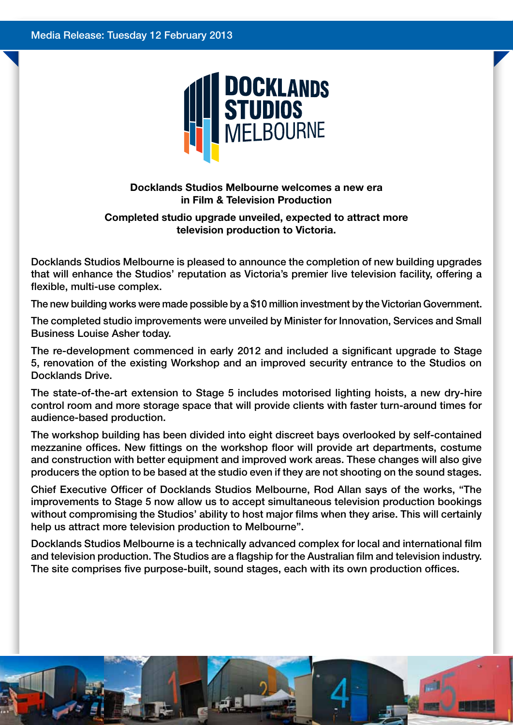

**Docklands Studios Melbourne welcomes a new era in Film & Television Production**

## **Completed studio upgrade unveiled, expected to attract more television production to Victoria.**

Docklands Studios Melbourne is pleased to announce the completion of new building upgrades that will enhance the Studios' reputation as Victoria's premier live television facility, offering a flexible, multi-use complex.

The new building works were made possible by a \$10 million investment by the Victorian Government.

The completed studio improvements were unveiled by Minister for Innovation, Services and Small Business Louise Asher today.

The re-development commenced in early 2012 and included a significant upgrade to Stage 5, renovation of the existing Workshop and an improved security entrance to the Studios on Docklands Drive.

The state-of-the-art extension to Stage 5 includes motorised lighting hoists, a new dry-hire control room and more storage space that will provide clients with faster turn-around times for audience-based production.

The workshop building has been divided into eight discreet bays overlooked by self-contained mezzanine offices. New fittings on the workshop floor will provide art departments, costume and construction with better equipment and improved work areas. These changes will also give producers the option to be based at the studio even if they are not shooting on the sound stages.

Chief Executive Officer of Docklands Studios Melbourne, Rod Allan says of the works, "The improvements to Stage 5 now allow us to accept simultaneous television production bookings without compromising the Studios' ability to host major films when they arise. This will certainly help us attract more television production to Melbourne".

Docklands Studios Melbourne is a technically advanced complex for local and international film and television production. The Studios are a flagship for the Australian film and television industry. The site comprises five purpose-built, sound stages, each with its own production offices.